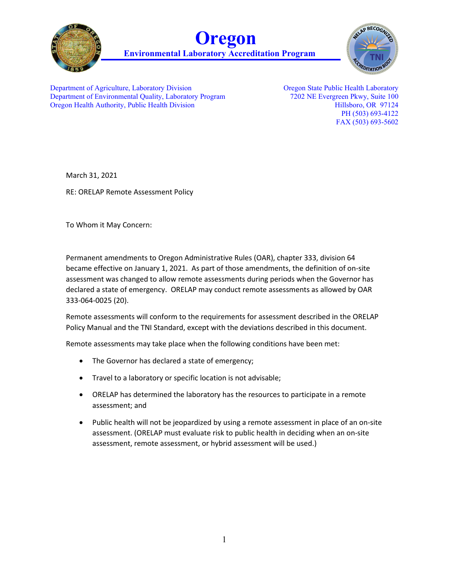





Department of Agriculture, Laboratory Division Department of Environmental Quality, Laboratory Program Oregon Health Authority, Public Health Division

Oregon State Public Health Laboratory 7202 NE Evergreen Pkwy, Suite 100 Hillsboro, OR 97124 PH (503) 693-4122 FAX (503) 693-5602

March 31, 2021

RE: ORELAP Remote Assessment Policy

To Whom it May Concern:

Permanent amendments to Oregon Administrative Rules (OAR), chapter 333, division 64 became effective on January 1, 2021. As part of those amendments, the definition of on-site assessment was changed to allow remote assessments during periods when the Governor has declared a state of emergency. ORELAP may conduct remote assessments as allowed by OAR 333-064-0025 (20).

Remote assessments will conform to the requirements for assessment described in the ORELAP Policy Manual and the TNI Standard, except with the deviations described in this document.

Remote assessments may take place when the following conditions have been met:

- The Governor has declared a state of emergency;
- Travel to a laboratory or specific location is not advisable;
- ORELAP has determined the laboratory has the resources to participate in a remote assessment; and
- Public health will not be jeopardized by using a remote assessment in place of an on-site assessment. (ORELAP must evaluate risk to public health in deciding when an on-site assessment, remote assessment, or hybrid assessment will be used.)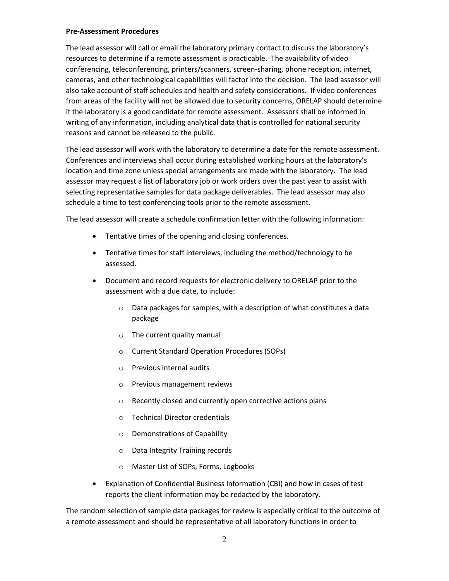### **Pre-Assessment Procedures**

The lead assessor will call or email the laboratory primary contact to discuss the laboratory's resources to determine if a remote assessment is practicable. The availability of video conferencing, teleconferencing, printers/scanners, screen-sharing, phone reception, internet, cameras, and other technological capabilities will factor into the decision. The lead assessor will also take account of staff schedules and health and safety considerations. If video conferences from areas of the facility will not be allowed due to security concerns, ORELAP should determine if the laboratory is a good candidate for remote assessment. Assessors shall be informed in writing of any information, including analytical data that is controlled for national security reasons and cannot be released to the public.

The lead assessor will work with the laboratory to determine a date for the remote assessment. Conferences and interviews shall occur during established working hours at the laboratory's location and time zone unless special arrangements are made with the laboratory. The lead assessor may request a list of laboratory job or work orders over the past year to assist with selecting representative samples for data package deliverables. The lead assessor may also schedule a time to test conferencing tools prior to the remote assessment.

The lead assessor will create a schedule confirmation letter with the following information:

- Tentative times of the opening and closing conferences.
- Tentative times for staff interviews, including the method/technology to be assessed.
- Document and record requests for electronic delivery to ORELAP prior to the assessment with a due date, to include:
	- o Data packages for samples, with a description of what constitutes a data package
	- o The current quality manual
	- o Current Standard Operation Procedures (SOPs)
	- o Previous internal audits
	- o Previous management reviews
	- o Recently closed and currently open corrective actions plans
	- o Technical Director credentials
	- o Demonstrations of Capability
	- o Data Integrity Training records
	- o Master List of SOPs, Forms, Logbooks
- Explanation of Confidential Business Information (CBI) and how in cases of test reports the client information may be redacted by the laboratory.

The random selection of sample data packages for review is especially critical to the outcome of a remote assessment and should be representative of all laboratory functions in order to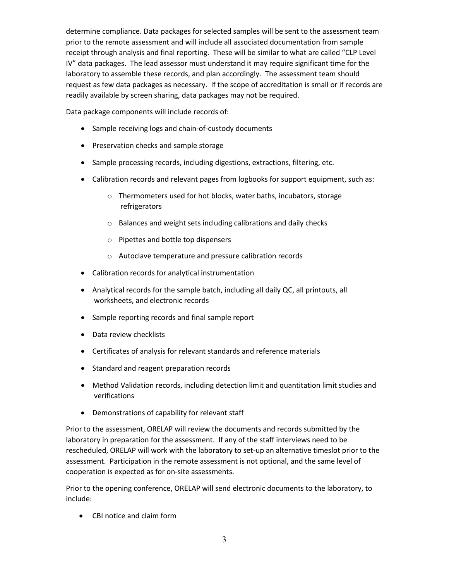determine compliance. Data packages for selected samples will be sent to the assessment team prior to the remote assessment and will include all associated documentation from sample receipt through analysis and final reporting. These will be similar to what are called "CLP Level IV" data packages. The lead assessor must understand it may require significant time for the laboratory to assemble these records, and plan accordingly. The assessment team should request as few data packages as necessary. If the scope of accreditation is small or if records are readily available by screen sharing, data packages may not be required.

Data package components will include records of:

- Sample receiving logs and chain-of-custody documents
- Preservation checks and sample storage
- Sample processing records, including digestions, extractions, filtering, etc.
- Calibration records and relevant pages from logbooks for support equipment, such as:
	- o Thermometers used for hot blocks, water baths, incubators, storage refrigerators
	- o Balances and weight sets including calibrations and daily checks
	- o Pipettes and bottle top dispensers
	- o Autoclave temperature and pressure calibration records
- Calibration records for analytical instrumentation
- Analytical records for the sample batch, including all daily QC, all printouts, all worksheets, and electronic records
- Sample reporting records and final sample report
- Data review checklists
- Certificates of analysis for relevant standards and reference materials
- Standard and reagent preparation records
- Method Validation records, including detection limit and quantitation limit studies and verifications
- Demonstrations of capability for relevant staff

Prior to the assessment, ORELAP will review the documents and records submitted by the laboratory in preparation for the assessment. If any of the staff interviews need to be rescheduled, ORELAP will work with the laboratory to set-up an alternative timeslot prior to the assessment. Participation in the remote assessment is not optional, and the same level of cooperation is expected as for on-site assessments.

Prior to the opening conference, ORELAP will send electronic documents to the laboratory, to include:

• CBI notice and claim form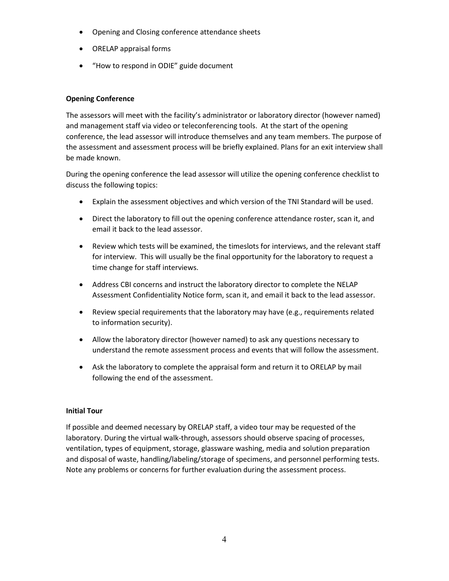- Opening and Closing conference attendance sheets
- ORELAP appraisal forms
- "How to respond in ODIE" guide document

# **Opening Conference**

The assessors will meet with the facility's administrator or laboratory director (however named) and management staff via video or teleconferencing tools. At the start of the opening conference, the lead assessor will introduce themselves and any team members. The purpose of the assessment and assessment process will be briefly explained. Plans for an exit interview shall be made known.

During the opening conference the lead assessor will utilize the opening conference checklist to discuss the following topics:

- Explain the assessment objectives and which version of the TNI Standard will be used.
- Direct the laboratory to fill out the opening conference attendance roster, scan it, and email it back to the lead assessor.
- Review which tests will be examined, the timeslots for interviews, and the relevant staff for interview. This will usually be the final opportunity for the laboratory to request a time change for staff interviews.
- Address CBI concerns and instruct the laboratory director to complete the NELAP Assessment Confidentiality Notice form, scan it, and email it back to the lead assessor.
- Review special requirements that the laboratory may have (e.g., requirements related to information security).
- Allow the laboratory director (however named) to ask any questions necessary to understand the remote assessment process and events that will follow the assessment.
- Ask the laboratory to complete the appraisal form and return it to ORELAP by mail following the end of the assessment.

# **Initial Tour**

If possible and deemed necessary by ORELAP staff, a video tour may be requested of the laboratory. During the virtual walk-through, assessors should observe spacing of processes, ventilation, types of equipment, storage, glassware washing, media and solution preparation and disposal of waste, handling/labeling/storage of specimens, and personnel performing tests. Note any problems or concerns for further evaluation during the assessment process.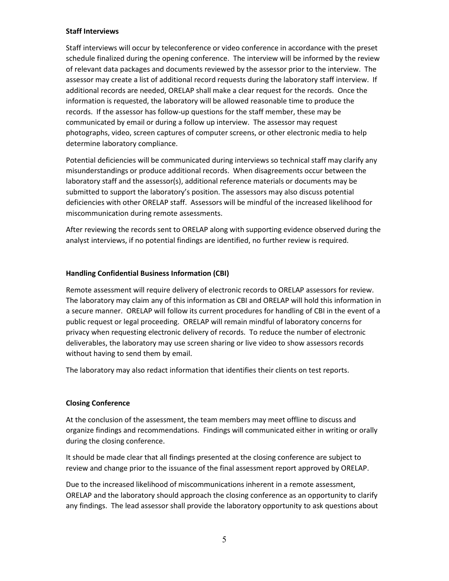## **Staff Interviews**

Staff interviews will occur by teleconference or video conference in accordance with the preset schedule finalized during the opening conference. The interview will be informed by the review of relevant data packages and documents reviewed by the assessor prior to the interview. The assessor may create a list of additional record requests during the laboratory staff interview. If additional records are needed, ORELAP shall make a clear request for the records. Once the information is requested, the laboratory will be allowed reasonable time to produce the records. If the assessor has follow-up questions for the staff member, these may be communicated by email or during a follow up interview. The assessor may request photographs, video, screen captures of computer screens, or other electronic media to help determine laboratory compliance.

Potential deficiencies will be communicated during interviews so technical staff may clarify any misunderstandings or produce additional records. When disagreements occur between the laboratory staff and the assessor(s), additional reference materials or documents may be submitted to support the laboratory's position. The assessors may also discuss potential deficiencies with other ORELAP staff. Assessors will be mindful of the increased likelihood for miscommunication during remote assessments.

After reviewing the records sent to ORELAP along with supporting evidence observed during the analyst interviews, if no potential findings are identified, no further review is required.

# **Handling Confidential Business Information (CBI)**

Remote assessment will require delivery of electronic records to ORELAP assessors for review. The laboratory may claim any of this information as CBI and ORELAP will hold this information in a secure manner. ORELAP will follow its current procedures for handling of CBI in the event of a public request or legal proceeding. ORELAP will remain mindful of laboratory concerns for privacy when requesting electronic delivery of records. To reduce the number of electronic deliverables, the laboratory may use screen sharing or live video to show assessors records without having to send them by email.

The laboratory may also redact information that identifies their clients on test reports.

# **Closing Conference**

At the conclusion of the assessment, the team members may meet offline to discuss and organize findings and recommendations. Findings will communicated either in writing or orally during the closing conference.

It should be made clear that all findings presented at the closing conference are subject to review and change prior to the issuance of the final assessment report approved by ORELAP.

Due to the increased likelihood of miscommunications inherent in a remote assessment, ORELAP and the laboratory should approach the closing conference as an opportunity to clarify any findings. The lead assessor shall provide the laboratory opportunity to ask questions about